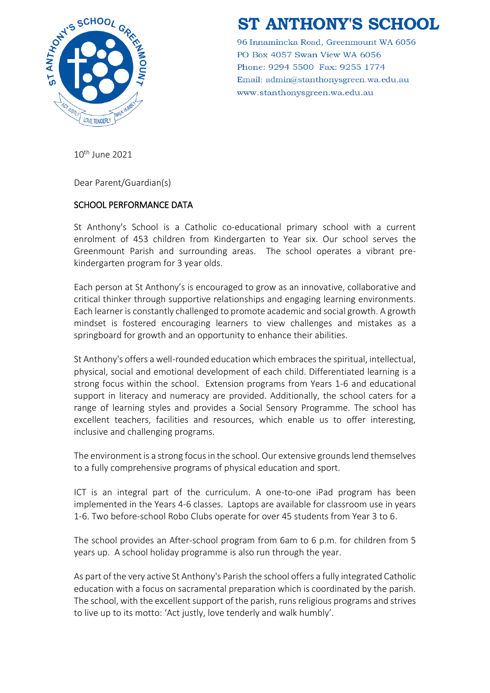

# **ST ANTHONY'S SCHOOL**

96 Innamincka Road, Greenmount WA 6056 PO Box 4057 Swan View WA 6056 Phone: 9294 5500 Fax: 9255 1774 Email: admin@stanthonysgreen.wa.edu.au www.stanthonysgreen.wa.edu.au

10th June 2021

Dear Parent/Guardian(s)

## SCHOOL PERFORMANCE DATA

St Anthony's School is a Catholic co-educational primary school with a current enrolment of 453 children from Kindergarten to Year six. Our school serves the Greenmount Parish and surrounding areas. The school operates a vibrant prekindergarten program for 3 year olds.

Each person at St Anthony's is encouraged to grow as an innovative, collaborative and critical thinker through supportive relationships and engaging learning environments. Each learner is constantly challenged to promote academic and social growth. A growth mindset is fostered encouraging learners to view challenges and mistakes as a springboard for growth and an opportunity to enhance their abilities.

St Anthony's offers a well-rounded education which embraces the spiritual, intellectual, physical, social and emotional development of each child. Differentiated learning is a strong focus within the school. Extension programs from Years 1-6 and educational support in literacy and numeracy are provided. Additionally, the school caters for a range of learning styles and provides a Social Sensory Programme. The school has excellent teachers, facilities and resources, which enable us to offer interesting, inclusive and challenging programs.

The environment is a strong focus in the school. Our extensive grounds lend themselves to a fully comprehensive programs of physical education and sport.

ICT is an integral part of the curriculum. A one-to-one iPad program has been implemented in the Years 4-6 classes. Laptops are available for classroom use in years 1-6. Two before-school Robo Clubs operate for over 45 students from Year 3 to 6.

The school provides an After-school program from 6am to 6 p.m. for children from 5 years up. A school holiday programme is also run through the year.

As part of the very active St Anthony's Parish the school offers a fully integrated Catholic education with a focus on sacramental preparation which is coordinated by the parish. The school, with the excellent support of the parish, runs religious programs and strives to live up to its motto: 'Act justly, love tenderly and walk humbly'.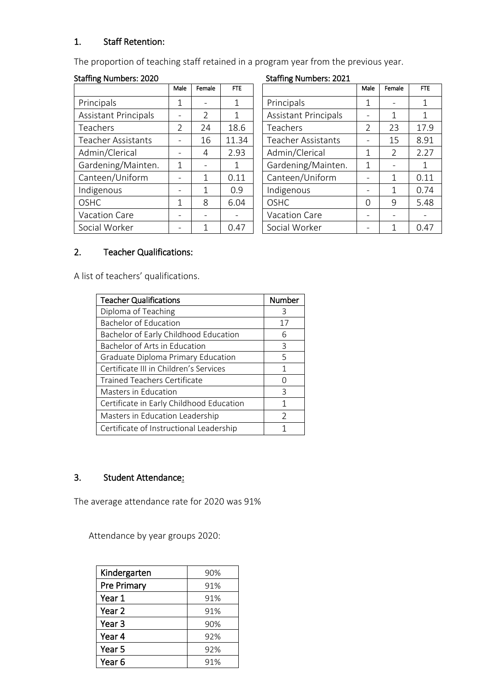## 1. Staff Retention:

The proportion of teaching staff retained in a program year from the previous year.

#### Staffing Numbers: 2020 Staffing Numbers: 2021

|                             | Male           | Female        | <b>FTE</b>   |                             | Male          | Female        | <b>FTE</b>  |
|-----------------------------|----------------|---------------|--------------|-----------------------------|---------------|---------------|-------------|
| Principals                  |                |               | 1            | Principals                  | 1             |               | $\mathbf 1$ |
| <b>Assistant Principals</b> |                | $\mathcal{L}$ | 1            | <b>Assistant Principals</b> |               | 1             |             |
| <b>Teachers</b>             | $\mathfrak{D}$ | 24            | 18.6         | Teachers                    | $\mathcal{P}$ | 23            | 17.9        |
| <b>Teacher Assistants</b>   |                | 16            | 11.34        | <b>Teacher Assistants</b>   |               | 15            | 8.91        |
| Admin/Clerical              |                | 4             | 2.93         | Admin/Clerical              | 1             | $\mathcal{P}$ | 2.27        |
| Gardening/Mainten.          | 1              |               | $\mathbf{1}$ | Gardening/Mainten.          | 1             |               |             |
| Canteen/Uniform             |                | 1             | 0.11         | Canteen/Uniform             |               | 1             | 0.11        |
| Indigenous                  |                | 1             | 0.9          | Indigenous                  |               | 1             | 0.74        |
| <b>OSHC</b>                 | 1              | 8             | 6.04         | <b>OSHC</b>                 | $\Omega$      | 9             | 5.48        |
| Vacation Care               |                |               |              | Vacation Care               |               |               |             |
| Social Worker               |                |               | 0.47         | Social Worker               |               |               | 0.47        |

| Male | Female | <b>FTE</b> | .c                          | Male     | Female        | <b>FTE</b> |
|------|--------|------------|-----------------------------|----------|---------------|------------|
| 1    |        | 1          | Principals                  | 1        |               | 1          |
|      | 2      | 1          | <b>Assistant Principals</b> |          | 1             | 1          |
| 2    | 24     | 18.6       | Teachers                    | 2        | 23            | 17.9       |
|      | 16     | 11.34      | <b>Teacher Assistants</b>   |          | 15            | 8.91       |
|      | 4      | 2.93       | Admin/Clerical              | 1        | $\mathcal{P}$ | 2.27       |
| 1    |        | 1          | Gardening/Mainten.          | 1        |               | 1          |
|      | 1      | 0.11       | Canteen/Uniform             |          | 1             | 0.11       |
|      | 1      | 0.9        | Indigenous                  |          | 1             | 0.74       |
|      | 8      | 6.04       | <b>OSHC</b>                 | $\Omega$ | 9             | 5.48       |
|      |        |            | Vacation Care               |          |               |            |
|      |        | 0.47       | Social Worker               |          |               | 0.47       |

# 2. Teacher Qualifications:

A list of teachers' qualifications.

| <b>Teacher Qualifications</b>            | <b>Number</b> |
|------------------------------------------|---------------|
| Diploma of Teaching                      | 3             |
| Bachelor of Education                    | 17            |
| Bachelor of Early Childhood Education    | 6             |
| Bachelor of Arts in Education            | 3             |
| Graduate Diploma Primary Education       | 5             |
| Certificate III in Children's Services   | 1             |
| <b>Trained Teachers Certificate</b>      | $\cap$        |
| <b>Masters in Education</b>              | 3             |
| Certificate in Early Childhood Education | 1             |
| Masters in Education Leadership          | $\mathcal{P}$ |
| Certificate of Instructional Leadership  |               |

## 3. Student Attendance:

The average attendance rate for 2020 was 91%

Attendance by year groups 2020:

| Kindergarten      | 90% |
|-------------------|-----|
| Pre Primary       | 91% |
| Year 1            | 91% |
| Year <sub>2</sub> | 91% |
| Year <sub>3</sub> | 90% |
| Year 4            | 92% |
| Year 5            | 92% |
| Year 6            | 91% |